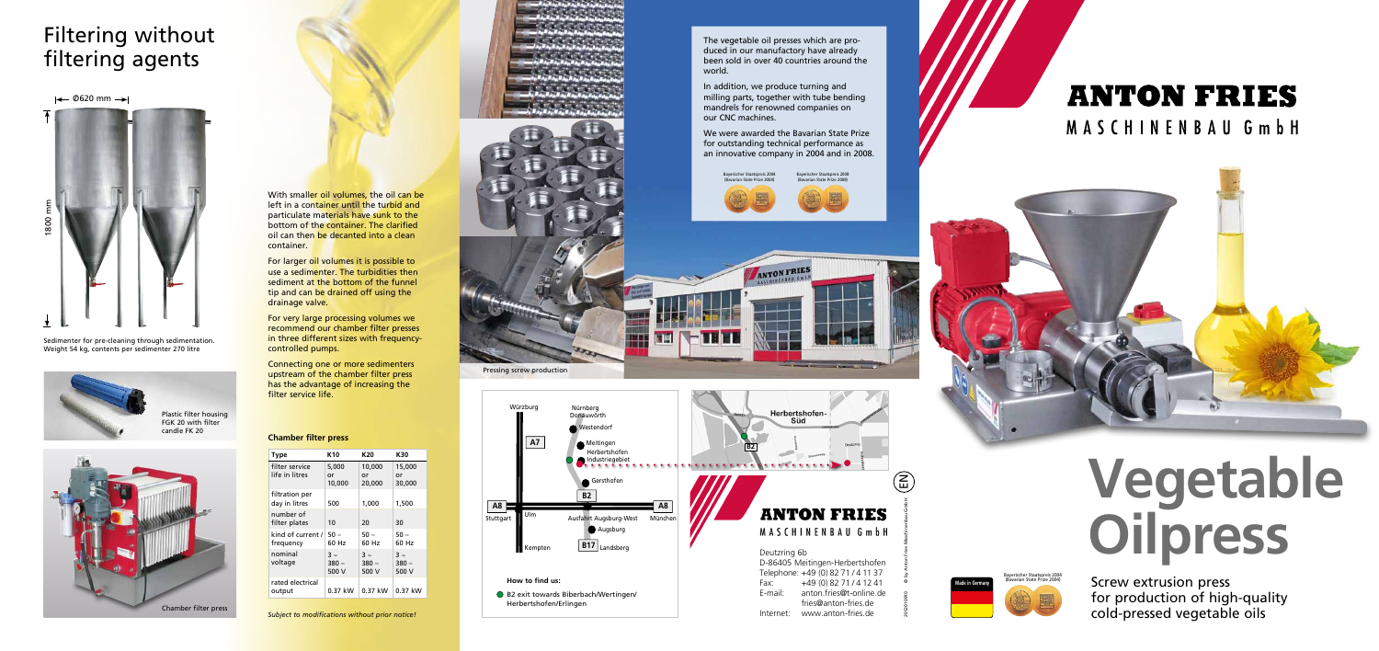

2012010910 © by Anton Fries Maschinenbau GmbH



MASCHINENBAU GmbH



The vegetable oil presses which are produced in our manufactory have already been sold in over 40 countries around the world.

In addition, we produce turning and milling parts, together with tube bending mandrels for renowned companies on our CNC machines.

With smaller oil volumes, the oil can be left in a container until the turbid and particulate materials have sunk to the bottom of the container. The clarified oil can then be decanted into a clean container.

We were awarded the Bavarian State Prize for outstanding technical performance as an innovative company in 2004 and in 2008.

> Screw extrusion press for production of high-quality cold-pressed vegetable oils

# **Oilpress Vegetable**

Pressing screw production

## Filtering without filtering agents

 $\leftarrow$  0620 mm  $\rightarrow$ 

| Type                             | K10                        | K20                                  | K30                                  |
|----------------------------------|----------------------------|--------------------------------------|--------------------------------------|
| filter service<br>life in litres | 5,000<br>or<br>10,000      | 10,000<br>or<br>20,000               | 15,000<br>or<br>30,000               |
| filtration per<br>day in litres  | 500                        | 1,000                                | 1,500                                |
| number of<br>filter plates       | 10                         | 20                                   | 30                                   |
| kind of current /<br>frequency   | $50 -$<br>60 Hz            | 50 –<br>60 Hz                        | 50 –<br>60 Hz                        |
| nominal<br>voltage               | $3 \sim$<br>380 –<br>500 V | $\overline{3}$ ~<br>$380 -$<br>500 V | $\overline{3}$ ~<br>$380 -$<br>500 V |
| rated electrical<br>output       | 0.37 kW                    | $0.37$ kW                            | 0.37 kW                              |







NE

Sedimenter for pre-cleaning through sedimentation. Weight 54 kg, contents per sedimenter 270 litre



For larger oil volumes it is possible to use a sedimenter. The turbidities then sediment at the bottom of the funnel tip and can be drained off using the drainage valve.

For very large processing volumes we recommend our chamber filter presses in three different sizes with frequencycontrolled pumps.

Connecting one or more sedimenters upstream of the chamber filter press has the advantage of increasing the filter service life.



Plastic filter housing FGK 20 with filter candle FK 20

## **Chamber filter press**

Bayerischer Staatspreis 2004 (Bavarian State Prize 2004)









|                                    | D-86405 Meitingen-Herbertshofen |  |
|------------------------------------|---------------------------------|--|
| Telephone: +49 (0) 82 71 / 4 11 37 |                                 |  |
| Fax:                               | +49 (0) 82 71 / 4 12 41         |  |
| E-mail:                            | anton.fries@t-online.de         |  |
|                                    | fries@anton-fries.de            |  |
| Internet:                          | www.anton-fries.de              |  |